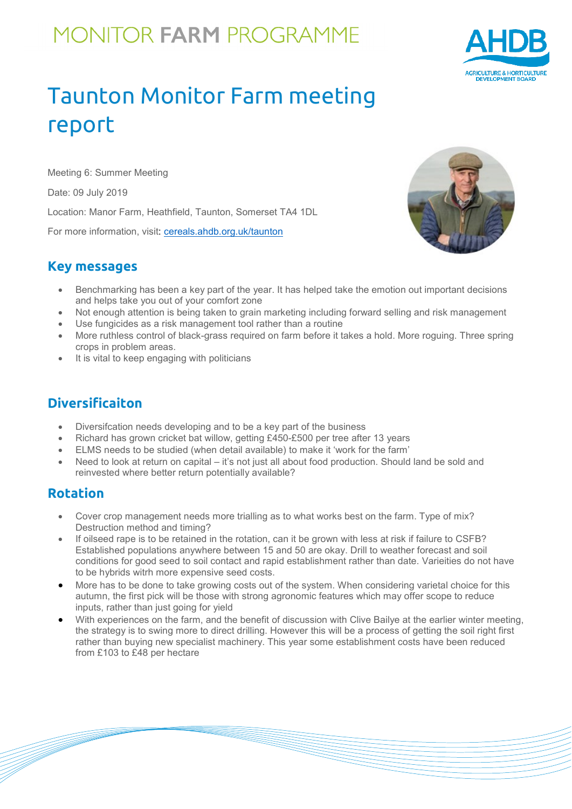# **MONITOR FARM PROGRAMME**



### Taunton Monitor Farm meeting report

Meeting 6: Summer Meeting

Date: 09 July 2019

Location: Manor Farm, Heathfield, Taunton, Somerset TA4 1DL

For more information, visit: [cereals.ahdb.org.uk/t](https://cereals.ahdb.org.uk/get-involved/monitorfarms/saltburn-monitor-farm.aspx)aunton

#### **Key messages**



- Benchmarking has been a key part of the year. It has helped take the emotion out important decisions and helps take you out of your comfort zone
- Not enough attention is being taken to grain marketing including forward selling and risk management
- Use fungicides as a risk management tool rather than a routine
- More ruthless control of black-grass required on farm before it takes a hold. More roguing. Three spring crops in problem areas.
- It is vital to keep engaging with politicians

### **Diversificaiton**

- Diversifcation needs developing and to be a key part of the business
- Richard has grown cricket bat willow, getting £450-£500 per tree after 13 years
- ELMS needs to be studied (when detail available) to make it 'work for the farm'
- Need to look at return on capital it's not just all about food production. Should land be sold and reinvested where better return potentially available?

### **Rotation**

- Cover crop management needs more trialling as to what works best on the farm. Type of mix? Destruction method and timing?
- If oilseed rape is to be retained in the rotation, can it be grown with less at risk if failure to CSFB? Established populations anywhere between 15 and 50 are okay. Drill to weather forecast and soil conditions for good seed to soil contact and rapid establishment rather than date. Varieities do not have to be hybrids witrh more expensive seed costs.
- More has to be done to take growing costs out of the system. When considering varietal choice for this autumn, the first pick will be those with strong agronomic features which may offer scope to reduce inputs, rather than just going for yield
- With experiences on the farm, and the benefit of discussion with Clive Bailye at the earlier winter meeting, the strategy is to swing more to direct drilling. However this will be a process of getting the soil right first rather than buying new specialist machinery. This year some establishment costs have been reduced from £103 to £48 per hectare